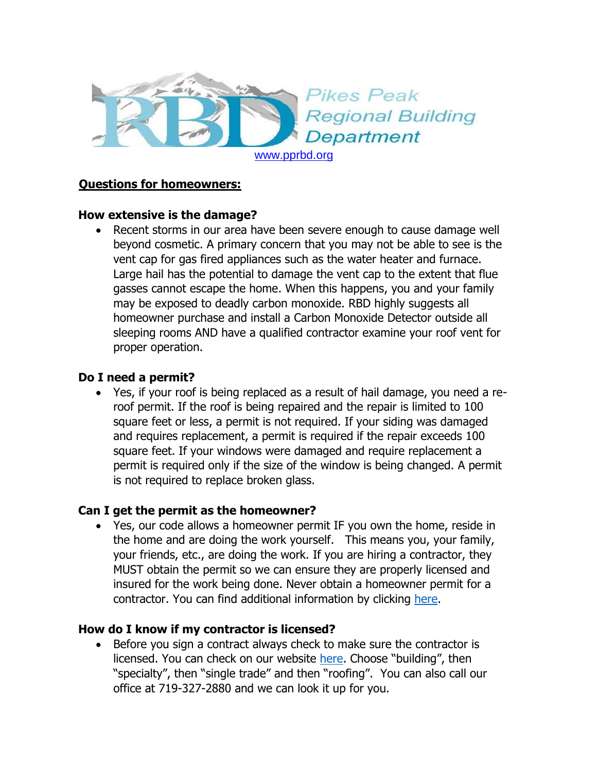

## **Questions for homeowners:**

### **How extensive is the damage?**

• Recent storms in our area have been severe enough to cause damage well beyond cosmetic. A primary concern that you may not be able to see is the vent cap for gas fired appliances such as the water heater and furnace. Large hail has the potential to damage the vent cap to the extent that flue gasses cannot escape the home. When this happens, you and your family may be exposed to deadly carbon monoxide. RBD highly suggests all homeowner purchase and install a Carbon Monoxide Detector outside all sleeping rooms AND have a qualified contractor examine your roof vent for proper operation.

### **Do I need a permit?**

 Yes, if your roof is being replaced as a result of hail damage, you need a reroof permit. If the roof is being repaired and the repair is limited to 100 square feet or less, a permit is not required. If your siding was damaged and requires replacement, a permit is required if the repair exceeds 100 square feet. If your windows were damaged and require replacement a permit is required only if the size of the window is being changed. A permit is not required to replace broken glass.

# **Can I get the permit as the homeowner?**

 Yes, our code allows a homeowner permit IF you own the home, reside in the home and are doing the work yourself. This means you, your family, your friends, etc., are doing the work. If you are hiring a contractor, they MUST obtain the permit so we can ensure they are properly licensed and insured for the work being done. Never obtain a homeowner permit for a contractor. You can find additional information by clicking [here.](http://www.pprbd.org/permits/homeownerpermit.aspx)

# **How do I know if my contractor is licensed?**

• Before you sign a contract always check to make sure the contractor is licensed. You can check on our website [here](http://www.pprbd.org/PublicAccess/LicenseSearch.aspx). Choose "building", then "specialty", then "single trade" and then "roofing". You can also call our office at 719-327-2880 and we can look it up for you.